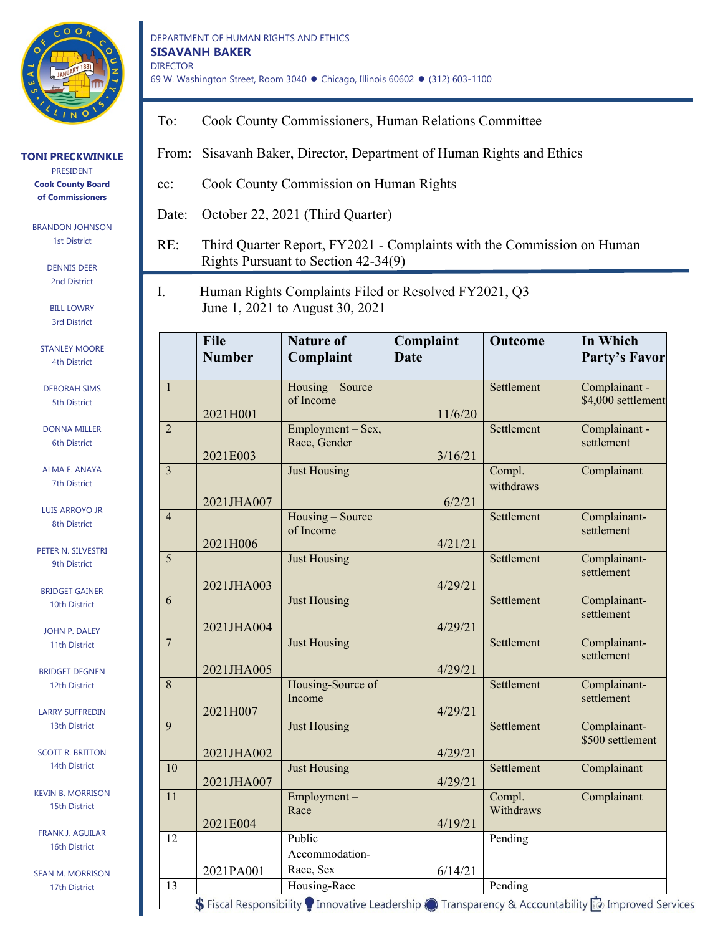

BRANDON JOHNSON 1st District

> DENNIS DEER 2nd District

BILL LOWRY 3rd District

STANLEY MOORE 4th District

DEBORAH SIMS 5th District

DONNA MILLER 6th District

ALMA E. ANAYA 7th District

LUIS ARROYO JR 8th District

PETER N. SILVESTRI 9th District

BRIDGET GAINER 10th District

JOHN P. DALEY 11th District

BRIDGET DEGNEN 12th District

LARRY SUFFREDIN 13th District

SCOTT R. BRITTON 14th District

KEVIN B. MORRISON 15th District

FRANK J. AGUILAR 16th District

SEAN M. MORRISON 17th District

DEPARTMENT OF HUMAN RIGHTS AND ETHICS **SISAVANH BAKER** DIRECTOR 69 W. Washington Street, Room 3040 ● Chicago, Illinois 60602 ● (312) 603-1100

To: Cook County Commissioners, Human Relations Committee

From: Sisavanh Baker, Director, Department of Human Rights and Ethics

- cc: Cook County Commission on Human Rights
- Date: October 22, 2021 (Third Quarter)
- RE: Third Quarter Report, FY2021 Complaints with the Commission on Human Rights Pursuant to Section 42-34(9)
- I. Human Rights Complaints Filed or Resolved FY2021, Q3 June 1, 2021 to August 30, 2021

|                           | <b>File</b><br><b>Number</b> | <b>Nature of</b><br>Complaint                                                                                                                       | Complaint<br><b>Date</b> | <b>Outcome</b>      | In Which<br><b>Party's Favor</b>    |
|---------------------------|------------------------------|-----------------------------------------------------------------------------------------------------------------------------------------------------|--------------------------|---------------------|-------------------------------------|
| $\overline{1}$            | 2021H001                     | Housing - Source<br>of Income                                                                                                                       | 11/6/20                  | Settlement          | Complainant -<br>\$4,000 settlement |
| $\overline{2}$            | 2021E003                     | Employment - Sex,<br>Race, Gender                                                                                                                   | 3/16/21                  | Settlement          | Complainant -<br>settlement         |
| $\overline{\overline{3}}$ | 2021JHA007                   | <b>Just Housing</b>                                                                                                                                 | 6/2/21                   | Compl.<br>withdraws | Complainant                         |
| $\overline{4}$            | 2021H006                     | Housing - Source<br>of Income                                                                                                                       | 4/21/21                  | Settlement          | Complainant-<br>settlement          |
| 5                         | 2021JHA003                   | <b>Just Housing</b>                                                                                                                                 | 4/29/21                  | Settlement          | Complainant-<br>settlement          |
| 6                         | 2021JHA004                   | <b>Just Housing</b>                                                                                                                                 | 4/29/21                  | Settlement          | Complainant-<br>settlement          |
| $\overline{7}$            | 2021JHA005                   | <b>Just Housing</b>                                                                                                                                 | 4/29/21                  | Settlement          | Complainant-<br>settlement          |
| $\overline{8}$            | 2021H007                     | Housing-Source of<br>Income                                                                                                                         | 4/29/21                  | Settlement          | Complainant-<br>settlement          |
| $\overline{9}$            | 2021JHA002                   | <b>Just Housing</b>                                                                                                                                 | 4/29/21                  | Settlement          | Complainant-<br>\$500 settlement    |
| $\overline{10}$           | 2021JHA007                   | <b>Just Housing</b>                                                                                                                                 | 4/29/21                  | Settlement          | Complainant                         |
| $\overline{11}$           | 2021E004                     | Employment-<br>Race                                                                                                                                 | 4/19/21                  | Compl.<br>Withdraws | Complainant                         |
| $\overline{12}$           |                              | Public<br>Accommodation-                                                                                                                            |                          | Pending             |                                     |
| $\overline{13}$           | 2021PA001                    | Race, Sex<br>Housing-Race                                                                                                                           | 6/14/21                  | Pending             |                                     |
|                           |                              | S Fiscal Responsibility $\bullet$ Innovative Leadership $\bullet$ Transparency & Accountability $\ddot{\ddot{\phantom{1}}\!\!\!\circ}$ Improved Ser |                          |                     |                                     |